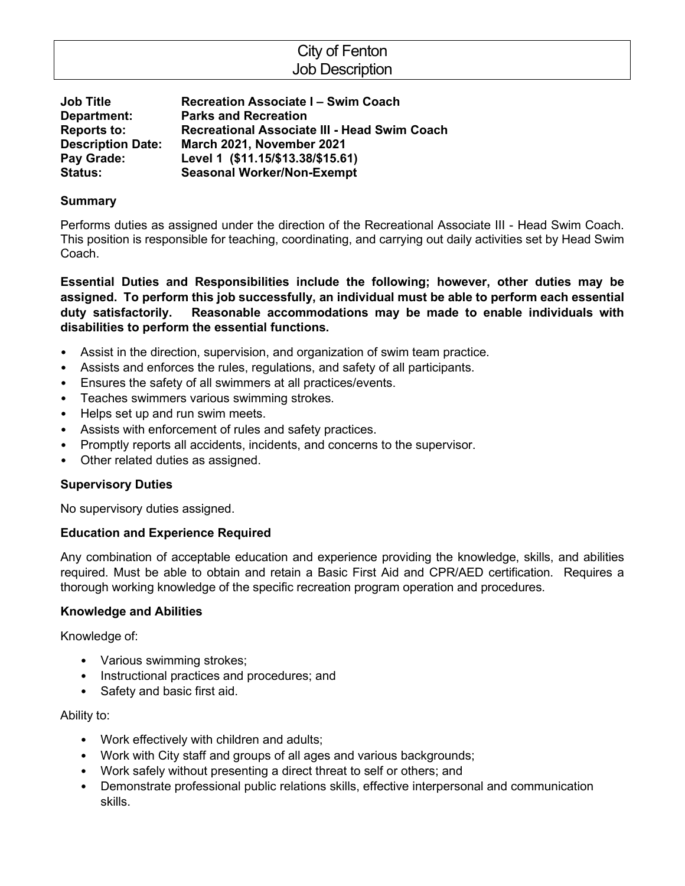# City of Fenton Job Description

**Job Title Recreation Associate I – Swim Coach Department: Parks and Recreation Reports to: Recreational Associate III - Head Swim Coach Description Date: March 2021, November 2021 Pay Grade: Level 1 (\$11.15/\$13.38/\$15.61) Status: Seasonal Worker/Non-Exempt**

## **Summary**

Performs duties as assigned under the direction of the Recreational Associate III - Head Swim Coach. This position is responsible for teaching, coordinating, and carrying out daily activities set by Head Swim Coach.

**Essential Duties and Responsibilities include the following; however, other duties may be assigned. To perform this job successfully, an individual must be able to perform each essential duty satisfactorily. Reasonable accommodations may be made to enable individuals with disabilities to perform the essential functions.**

- Assist in the direction, supervision, and organization of swim team practice.
- Assists and enforces the rules, regulations, and safety of all participants.
- Ensures the safety of all swimmers at all practices/events.
- Teaches swimmers various swimming strokes.
- Helps set up and run swim meets.
- Assists with enforcement of rules and safety practices.
- Promptly reports all accidents, incidents, and concerns to the supervisor.
- Other related duties as assigned.

### **Supervisory Duties**

No supervisory duties assigned.

## **Education and Experience Required**

Any combination of acceptable education and experience providing the knowledge, skills, and abilities required. Must be able to obtain and retain a Basic First Aid and CPR/AED certification. Requires a thorough working knowledge of the specific recreation program operation and procedures.

### **Knowledge and Abilities**

Knowledge of:

- Various swimming strokes;
- Instructional practices and procedures; and
- Safety and basic first aid.

### Ability to:

- Work effectively with children and adults;
- Work with City staff and groups of all ages and various backgrounds;
- Work safely without presenting a direct threat to self or others; and
- Demonstrate professional public relations skills, effective interpersonal and communication skills.